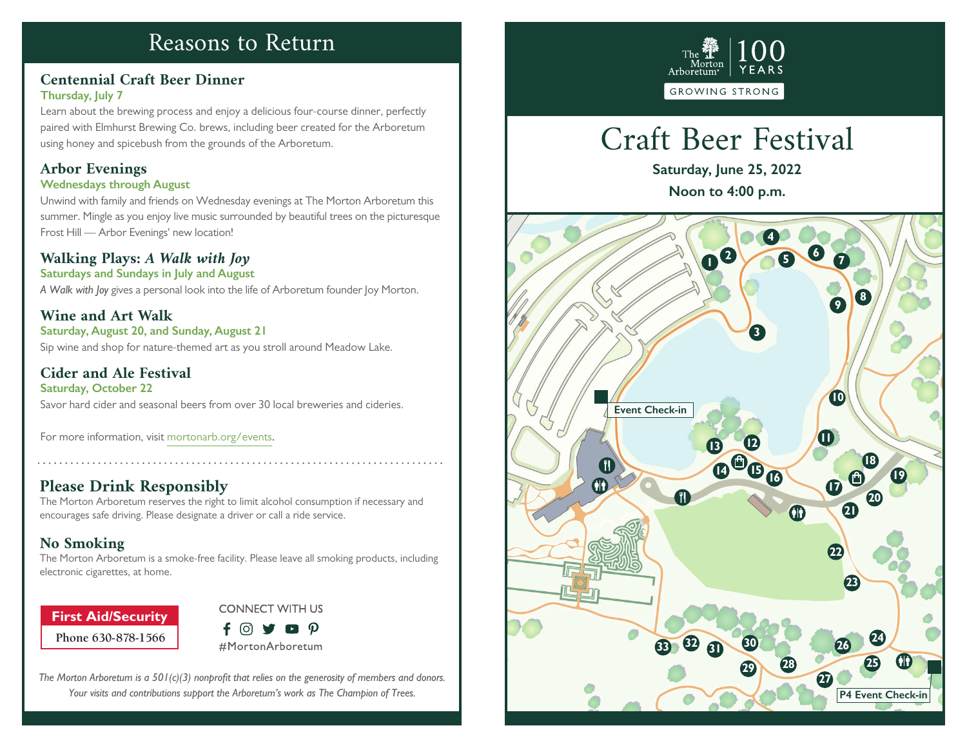## Reasons to Return

### **Centennial Craft Beer Dinner Thursday, July 7**

Learn about the brewing process and enjoy a delicious four-course dinner, perfectly paired with Elmhurst Brewing Co. brews, including beer created for the Arboretum using honey and spicebush from the grounds of the Arboretum.

### **Arbor Evenings**

### **Wednesdays through August**

Unwind with family and friends on Wednesday evenings at The Morton Arboretum this summer. Mingle as you enjoy live music surrounded by beautiful trees on the picturesque Frost Hill — Arbor Evenings' new location!

### **Walking Plays:** *A Walk with Joy*

**Saturdays and Sundays in July and August**

*A Walk with Joy* gives a personal look into the life of Arboretum founder Joy Morton.

**Wine and Art Walk Saturday, August 20, and Sunday, August 21** Sip wine and shop for nature-themed art as you stroll around Meadow Lake.

**Cider and Ale Festival Saturday, October 22** Savor hard cider and seasonal beers from over 30 local breweries and cideries.

For more information, visit mortonarb.org/events.

### **Please Drink Responsibly**

The Morton Arboretum reserves the right to limit alcohol consumption if necessary and encourages safe driving. Please designate a driver or call a ride service.

### **No Smoking**

The Morton Arboretum is a smoke-free facility. Please leave all smoking products, including electronic cigarettes, at home.

**Phone 630-878-1566 First Aid/Security**



*The Morton Arboretum is a 501(c)(3) nonprofit that relies on the generosity of members and donors. Your visits and contributions support the Arboretum's work as The Champion of Trees.*



# Craft Beer Festival

**Saturday, June 25, 2022 Noon to 4:00 p.m.**